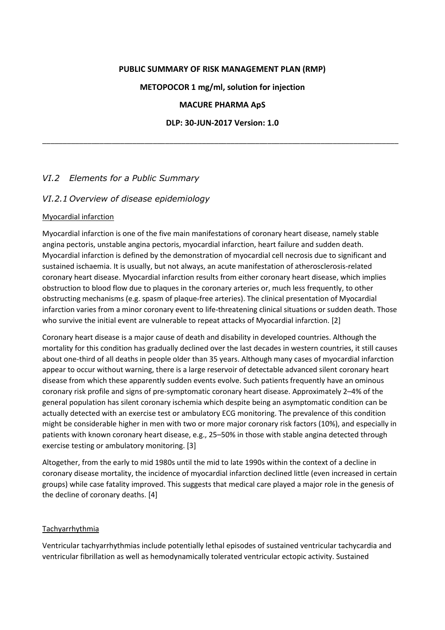### **PUBLIC SUMMARY OF RISK MANAGEMENT PLAN (RMP)**

#### **METOPOCOR 1 mg/ml, solution for injection**

#### **MACURE PHARMA ApS**

#### **DLP: 30-JUN-2017 Version: 1.0**

\_\_\_\_\_\_\_\_\_\_\_\_\_\_\_\_\_\_\_\_\_\_\_\_\_\_\_\_\_\_\_\_\_\_\_\_\_\_\_\_\_\_\_\_\_\_\_\_\_\_\_\_\_\_\_\_\_\_\_\_\_\_\_\_\_\_\_\_\_\_\_\_\_\_\_\_\_\_\_\_\_\_\_\_\_\_\_

### *VI.2 Elements for a Public Summary*

### *VI.2.1 Overview of disease epidemiology*

### Myocardial infarction

Myocardial infarction is one of the five main manifestations of coronary heart disease, namely stable angina pectoris, unstable angina pectoris, myocardial infarction, heart failure and sudden death. Myocardial infarction is defined by the demonstration of myocardial cell necrosis due to significant and sustained ischaemia. It is usually, but not always, an acute manifestation of atherosclerosis-related coronary heart disease. Myocardial infarction results from either coronary heart disease, which implies obstruction to blood flow due to plaques in the coronary arteries or, much less frequently, to other obstructing mechanisms (e.g. spasm of plaque-free arteries). The clinical presentation of Myocardial infarction varies from a minor coronary event to life-threatening clinical situations or sudden death. Those who survive the initial event are vulnerable to repeat attacks of Myocardial infarction. [2]

Coronary heart disease is a major cause of death and disability in developed countries. Although the mortality for this condition has gradually declined over the last decades in western countries, it still causes about one-third of all deaths in people older than 35 years. Although many cases of myocardial infarction appear to occur without warning, there is a large reservoir of detectable advanced silent coronary heart disease from which these apparently sudden events evolve. Such patients frequently have an ominous coronary risk profile and signs of pre-symptomatic coronary heart disease. Approximately 2–4% of the general population has silent coronary ischemia which despite being an asymptomatic condition can be actually detected with an exercise test or ambulatory ECG monitoring. The prevalence of this condition might be considerable higher in men with two or more major coronary risk factors (10%), and especially in patients with known coronary heart disease, e.g., 25–50% in those with stable angina detected through exercise testing or ambulatory monitoring. [3]

Altogether, from the early to mid 1980s until the mid to late 1990s within the context of a decline in coronary disease mortality, the incidence of myocardial infarction declined little (even increased in certain groups) while case fatality improved. This suggests that medical care played a major role in the genesis of the decline of coronary deaths. [4]

#### Tachyarrhythmia

Ventricular tachyarrhythmias include potentially lethal episodes of sustained ventricular tachycardia and ventricular fibrillation as well as hemodynamically tolerated ventricular ectopic activity. Sustained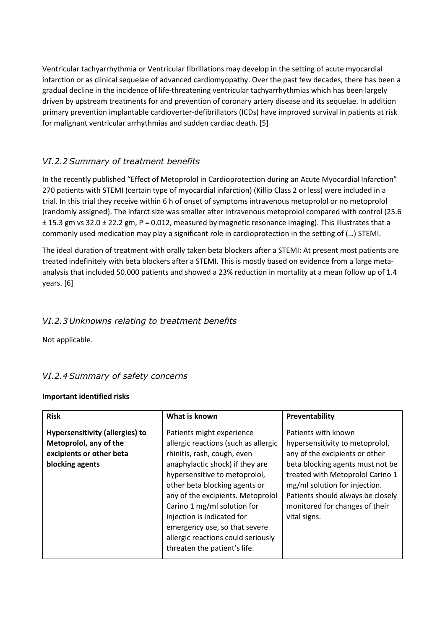Ventricular tachyarrhythmia or Ventricular fibrillations may develop in the setting of acute myocardial infarction or as clinical sequelae of advanced cardiomyopathy. Over the past few decades, there has been a gradual decline in the incidence of life-threatening ventricular tachyarrhythmias which has been largely driven by upstream treatments for and prevention of coronary artery disease and its sequelae. In addition primary prevention implantable cardioverter-defibrillators (ICDs) have improved survival in patients at risk for malignant ventricular arrhythmias and sudden cardiac death. [5]

# *VI.2.2Summary of treatment benefits*

In the recently published "Effect of Metoprolol in Cardioprotection during an Acute Myocardial Infarction" 270 patients with STEMI (certain type of myocardial infarction) (Killip Class 2 or less) were included in a trial. In this trial they receive within 6 h of onset of symptoms intravenous metoprolol or no metoprolol (randomly assigned). The infarct size was smaller after intravenous metoprolol compared with control (25.6 ± 15.3 gm vs 32.0 ± 22.2 gm, P = 0.012, measured by magnetic resonance imaging). This illustrates that a commonly used medication may play a significant role in cardioprotection in the setting of (…) STEMI.

The ideal duration of treatment with orally taken beta blockers after a STEMI: At present most patients are treated indefinitely with beta blockers after a STEMI. This is mostly based on evidence from a large metaanalysis that included 50.000 patients and showed a 23% reduction in mortality at a mean follow up of 1.4 years. [6]

## *VI.2.3 Unknowns relating to treatment benefits*

Not applicable.

## *VI.2.4Summary of safety concerns*

### **Important identified risks**

| <b>Risk</b>                                                                                                     | What is known                                                                                                                                                                                                                                                                                                                                                                                                  | Preventability                                                                                                                                                                                                                                                                           |
|-----------------------------------------------------------------------------------------------------------------|----------------------------------------------------------------------------------------------------------------------------------------------------------------------------------------------------------------------------------------------------------------------------------------------------------------------------------------------------------------------------------------------------------------|------------------------------------------------------------------------------------------------------------------------------------------------------------------------------------------------------------------------------------------------------------------------------------------|
| <b>Hypersensitivity (allergies) to</b><br>Metoprolol, any of the<br>excipients or other beta<br>blocking agents | Patients might experience<br>allergic reactions (such as allergic<br>rhinitis, rash, cough, even<br>anaphylactic shock) if they are<br>hypersensitive to metoprolol,<br>other beta blocking agents or<br>any of the excipients. Metoprolol<br>Carino 1 mg/ml solution for<br>injection is indicated for<br>emergency use, so that severe<br>allergic reactions could seriously<br>threaten the patient's life. | Patients with known<br>hypersensitivity to metoprolol,<br>any of the excipients or other<br>beta blocking agents must not be<br>treated with Metoprolol Carino 1<br>mg/ml solution for injection.<br>Patients should always be closely<br>monitored for changes of their<br>vital signs. |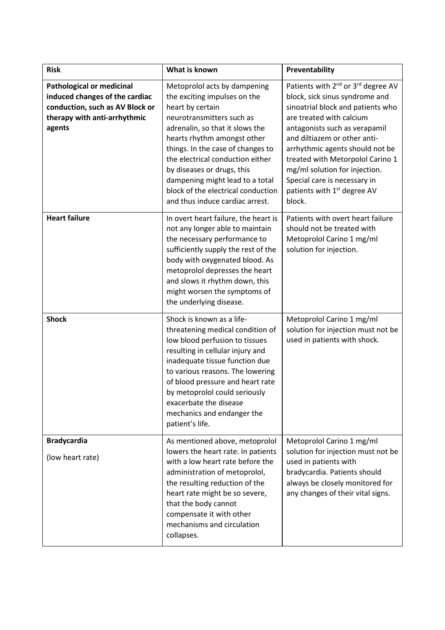| <b>Risk</b>                                                                                                                                     | What is known                                                                                                                                                                                                                                                                                                                                                                                      | Preventability                                                                                                                                                                                                                                                                                                                                                                                                              |
|-------------------------------------------------------------------------------------------------------------------------------------------------|----------------------------------------------------------------------------------------------------------------------------------------------------------------------------------------------------------------------------------------------------------------------------------------------------------------------------------------------------------------------------------------------------|-----------------------------------------------------------------------------------------------------------------------------------------------------------------------------------------------------------------------------------------------------------------------------------------------------------------------------------------------------------------------------------------------------------------------------|
| <b>Pathological or medicinal</b><br>induced changes of the cardiac<br>conduction, such as AV Block or<br>therapy with anti-arrhythmic<br>agents | Metoprolol acts by dampening<br>the exciting impulses on the<br>heart by certain<br>neurotransmitters such as<br>adrenalin, so that it slows the<br>hearts rhythm amongst other<br>things. In the case of changes to<br>the electrical conduction either<br>by diseases or drugs, this<br>dampening might lead to a total<br>block of the electrical conduction<br>and thus induce cardiac arrest. | Patients with 2 <sup>nd</sup> or 3 <sup>rd</sup> degree AV<br>block, sick sinus syndrome and<br>sinoatrial block and patients who<br>are treated with calcium<br>antagonists such as verapamil<br>and diltiazem or other anti-<br>arrhythmic agents should not be<br>treated with Metorpolol Carino 1<br>mg/ml solution for injection.<br>Special care is necessary in<br>patients with 1 <sup>st</sup> degree AV<br>block. |
| <b>Heart failure</b>                                                                                                                            | In overt heart failure, the heart is<br>not any longer able to maintain<br>the necessary performance to<br>sufficiently supply the rest of the<br>body with oxygenated blood. As<br>metoprolol depresses the heart<br>and slows it rhythm down, this<br>might worsen the symptoms of<br>the underlying disease.                                                                                    | Patients with overt heart failure<br>should not be treated with<br>Metoprolol Carino 1 mg/ml<br>solution for injection.                                                                                                                                                                                                                                                                                                     |
| <b>Shock</b>                                                                                                                                    | Shock is known as a life-<br>threatening medical condition of<br>low blood perfusion to tissues<br>resulting in cellular injury and<br>inadequate tissue function due<br>to various reasons. The lowering<br>of blood pressure and heart rate<br>by metoprolol could seriously<br>exacerbate the disease<br>mechanics and endanger the<br>patient's life.                                          | Metoprolol Carino 1 mg/ml<br>solution for injection must not be<br>used in patients with shock.                                                                                                                                                                                                                                                                                                                             |
| <b>Bradycardia</b><br>(low heart rate)                                                                                                          | As mentioned above, metoprolol<br>lowers the heart rate. In patients<br>with a low heart rate before the<br>administration of metoprolol,<br>the resulting reduction of the<br>heart rate might be so severe,<br>that the body cannot<br>compensate it with other<br>mechanisms and circulation<br>collapses.                                                                                      | Metoprolol Carino 1 mg/ml<br>solution for injection must not be<br>used in patients with<br>bradycardia. Patients should<br>always be closely monitored for<br>any changes of their vital signs.                                                                                                                                                                                                                            |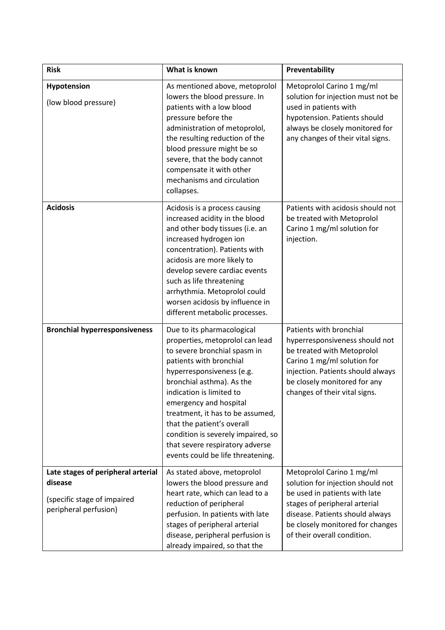| <b>Risk</b>                                                                                           | What is known                                                                                                                                                                                                                                                                                                                                                                                                            | Preventability                                                                                                                                                                                                                         |  |
|-------------------------------------------------------------------------------------------------------|--------------------------------------------------------------------------------------------------------------------------------------------------------------------------------------------------------------------------------------------------------------------------------------------------------------------------------------------------------------------------------------------------------------------------|----------------------------------------------------------------------------------------------------------------------------------------------------------------------------------------------------------------------------------------|--|
| Hypotension<br>(low blood pressure)                                                                   | As mentioned above, metoprolol<br>lowers the blood pressure. In<br>patients with a low blood<br>pressure before the<br>administration of metoprolol,<br>the resulting reduction of the<br>blood pressure might be so<br>severe, that the body cannot<br>compensate it with other<br>mechanisms and circulation<br>collapses.                                                                                             | Metoprolol Carino 1 mg/ml<br>solution for injection must not be<br>used in patients with<br>hypotension. Patients should<br>always be closely monitored for<br>any changes of their vital signs.                                       |  |
| <b>Acidosis</b>                                                                                       | Acidosis is a process causing<br>increased acidity in the blood<br>and other body tissues (i.e. an<br>increased hydrogen ion<br>concentration). Patients with<br>acidosis are more likely to<br>develop severe cardiac events<br>such as life threatening<br>arrhythmia. Metoprolol could<br>worsen acidosis by influence in<br>different metabolic processes.                                                           | Patients with acidosis should not<br>be treated with Metoprolol<br>Carino 1 mg/ml solution for<br>injection.                                                                                                                           |  |
| <b>Bronchial hyperresponsiveness</b>                                                                  | Due to its pharmacological<br>properties, metoprolol can lead<br>to severe bronchial spasm in<br>patients with bronchial<br>hyperresponsiveness (e.g.<br>bronchial asthma). As the<br>indication is limited to<br>emergency and hospital<br>treatment, it has to be assumed,<br>that the patient's overall<br>condition is severely impaired, so<br>that severe respiratory adverse<br>events could be life threatening. | Patients with bronchial<br>hyperresponsiveness should not<br>be treated with Metoprolol<br>Carino 1 mg/ml solution for<br>injection. Patients should always<br>be closely monitored for any<br>changes of their vital signs.           |  |
| Late stages of peripheral arterial<br>disease<br>(specific stage of impaired<br>peripheral perfusion) | As stated above, metoprolol<br>lowers the blood pressure and<br>heart rate, which can lead to a<br>reduction of peripheral<br>perfusion. In patients with late<br>stages of peripheral arterial<br>disease, peripheral perfusion is<br>already impaired, so that the                                                                                                                                                     | Metoprolol Carino 1 mg/ml<br>solution for injection should not<br>be used in patients with late<br>stages of peripheral arterial<br>disease. Patients should always<br>be closely monitored for changes<br>of their overall condition. |  |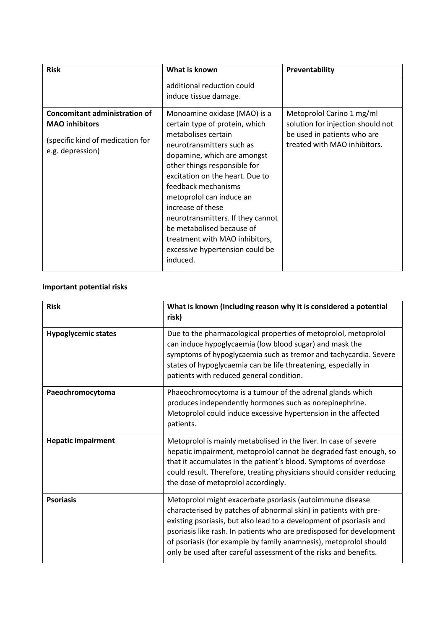| <b>Risk</b>                                                                                                           | What is known                                                                                                                                                                                                                                                                                                                                                                                                                                   | Preventability                                                                                                                |  |
|-----------------------------------------------------------------------------------------------------------------------|-------------------------------------------------------------------------------------------------------------------------------------------------------------------------------------------------------------------------------------------------------------------------------------------------------------------------------------------------------------------------------------------------------------------------------------------------|-------------------------------------------------------------------------------------------------------------------------------|--|
|                                                                                                                       | additional reduction could<br>induce tissue damage.                                                                                                                                                                                                                                                                                                                                                                                             |                                                                                                                               |  |
| <b>Concomitant administration of</b><br><b>MAO</b> inhibitors<br>(specific kind of medication for<br>e.g. depression) | Monoamine oxidase (MAO) is a<br>certain type of protein, which<br>metabolises certain<br>neurotransmitters such as<br>dopamine, which are amongst<br>other things responsible for<br>excitation on the heart. Due to<br>feedback mechanisms<br>metoprolol can induce an<br>increase of these<br>neurotransmitters. If they cannot<br>be metabolised because of<br>treatment with MAO inhibitors,<br>excessive hypertension could be<br>induced. | Metoprolol Carino 1 mg/ml<br>solution for injection should not<br>be used in patients who are<br>treated with MAO inhibitors. |  |

# **Important potential risks**

| <b>Risk</b>                | What is known (Including reason why it is considered a potential<br>risk)                                                                                                                                                                                                                                                                                                                                             |  |
|----------------------------|-----------------------------------------------------------------------------------------------------------------------------------------------------------------------------------------------------------------------------------------------------------------------------------------------------------------------------------------------------------------------------------------------------------------------|--|
| <b>Hypoglycemic states</b> | Due to the pharmacological properties of metoprolol, metoprolol<br>can induce hypoglycaemia (low blood sugar) and mask the<br>symptoms of hypoglycaemia such as tremor and tachycardia. Severe<br>states of hypoglycaemia can be life threatening, especially in<br>patients with reduced general condition.                                                                                                          |  |
| Paeochromocytoma           | Phaeochromocytoma is a tumour of the adrenal glands which<br>produces independently hormones such as norepinephrine.<br>Metoprolol could induce excessive hypertension in the affected<br>patients.                                                                                                                                                                                                                   |  |
| <b>Hepatic impairment</b>  | Metoprolol is mainly metabolised in the liver. In case of severe<br>hepatic impairment, metoprolol cannot be degraded fast enough, so<br>that it accumulates in the patient's blood. Symptoms of overdose<br>could result. Therefore, treating physicians should consider reducing<br>the dose of metoprolol accordingly.                                                                                             |  |
| <b>Psoriasis</b>           | Metoprolol might exacerbate psoriasis (autoimmune disease<br>characterised by patches of abnormal skin) in patients with pre-<br>existing psoriasis, but also lead to a development of psoriasis and<br>psoriasis like rash. In patients who are predisposed for development<br>of psoriasis (for example by family anamnesis), metoprolol should<br>only be used after careful assessment of the risks and benefits. |  |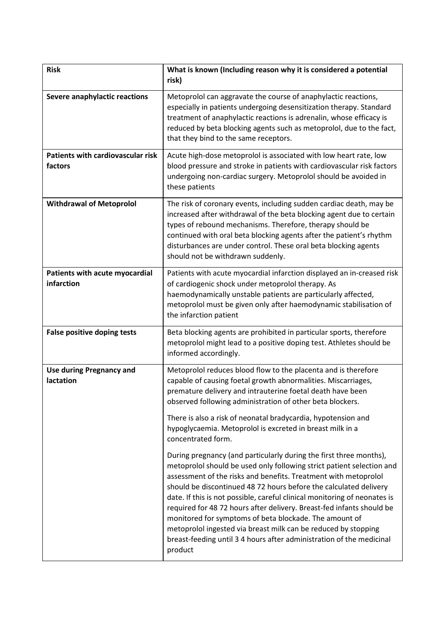| <b>Risk</b>                                  | What is known (Including reason why it is considered a potential<br>risk)                                                                                                                                                                                                                                                                                                                                                                                                                                                                                                                                                                                |
|----------------------------------------------|----------------------------------------------------------------------------------------------------------------------------------------------------------------------------------------------------------------------------------------------------------------------------------------------------------------------------------------------------------------------------------------------------------------------------------------------------------------------------------------------------------------------------------------------------------------------------------------------------------------------------------------------------------|
| Severe anaphylactic reactions                | Metoprolol can aggravate the course of anaphylactic reactions,<br>especially in patients undergoing desensitization therapy. Standard<br>treatment of anaphylactic reactions is adrenalin, whose efficacy is<br>reduced by beta blocking agents such as metoprolol, due to the fact,<br>that they bind to the same receptors.                                                                                                                                                                                                                                                                                                                            |
| Patients with cardiovascular risk<br>factors | Acute high-dose metoprolol is associated with low heart rate, low<br>blood pressure and stroke in patients with cardiovascular risk factors<br>undergoing non-cardiac surgery. Metoprolol should be avoided in<br>these patients                                                                                                                                                                                                                                                                                                                                                                                                                         |
| <b>Withdrawal of Metoprolol</b>              | The risk of coronary events, including sudden cardiac death, may be<br>increased after withdrawal of the beta blocking agent due to certain<br>types of rebound mechanisms. Therefore, therapy should be<br>continued with oral beta blocking agents after the patient's rhythm<br>disturbances are under control. These oral beta blocking agents<br>should not be withdrawn suddenly.                                                                                                                                                                                                                                                                  |
| Patients with acute myocardial<br>infarction | Patients with acute myocardial infarction displayed an in-creased risk<br>of cardiogenic shock under metoprolol therapy. As<br>haemodynamically unstable patients are particularly affected,<br>metoprolol must be given only after haemodynamic stabilisation of<br>the infarction patient                                                                                                                                                                                                                                                                                                                                                              |
| <b>False positive doping tests</b>           | Beta blocking agents are prohibited in particular sports, therefore<br>metoprolol might lead to a positive doping test. Athletes should be<br>informed accordingly.                                                                                                                                                                                                                                                                                                                                                                                                                                                                                      |
| <b>Use during Pregnancy and</b><br>lactation | Metoprolol reduces blood flow to the placenta and is therefore<br>capable of causing foetal growth abnormalities. Miscarriages,<br>premature delivery and intrauterine foetal death have been<br>observed following administration of other beta blockers.<br>There is also a risk of neonatal bradycardia, hypotension and<br>hypoglycaemia. Metoprolol is excreted in breast milk in a<br>concentrated form.                                                                                                                                                                                                                                           |
|                                              | During pregnancy (and particularly during the first three months),<br>metoprolol should be used only following strict patient selection and<br>assessment of the risks and benefits. Treatment with metoprolol<br>should be discontinued 48 72 hours before the calculated delivery<br>date. If this is not possible, careful clinical monitoring of neonates is<br>required for 48 72 hours after delivery. Breast-fed infants should be<br>monitored for symptoms of beta blockade. The amount of<br>metoprolol ingested via breast milk can be reduced by stopping<br>breast-feeding until 3 4 hours after administration of the medicinal<br>product |